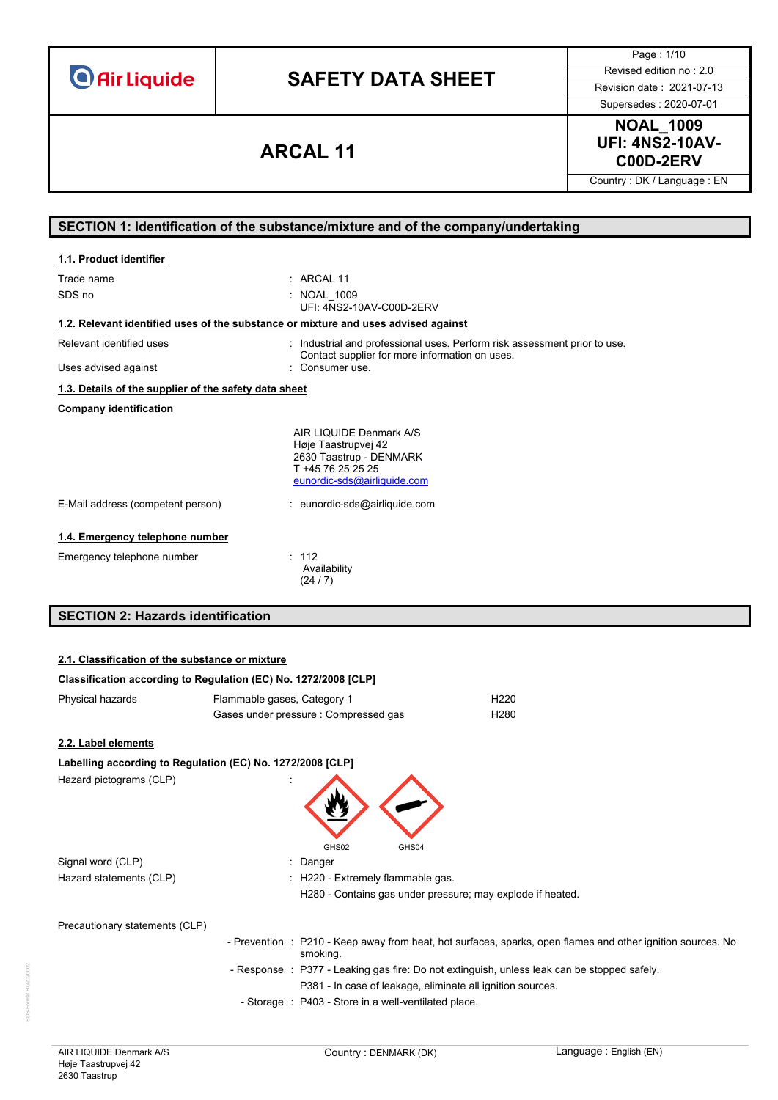**O** Air Liquide

# **SAFETY DATA SHEET** Revised edition no : 2.0

Page : 1/10 Supersedes : 2020-07-01

**NOAL\_1009 UFI: 4NS2-10AV-ARCAL 11** UFI: 4NS2-10A<br>C00D-2ERV

Country : DK / Language : EN

### **SECTION 1: Identification of the substance/mixture and of the company/undertaking**

| 1.1. Product identifier                                                            |                                                                                                                               |
|------------------------------------------------------------------------------------|-------------------------------------------------------------------------------------------------------------------------------|
| Trade name<br>SDS no                                                               | $:$ ARCAL 11<br>: NOAL 1009<br>UFI: 4NS2-10AV-C00D-2ERV                                                                       |
| 1.2. Relevant identified uses of the substance or mixture and uses advised against |                                                                                                                               |
| Relevant identified uses                                                           | : Industrial and professional uses. Perform risk assessment prior to use.<br>Contact supplier for more information on uses.   |
| Uses advised against                                                               | : Consumer use.                                                                                                               |
| 1.3. Details of the supplier of the safety data sheet                              |                                                                                                                               |
| <b>Company identification</b>                                                      |                                                                                                                               |
|                                                                                    | AIR LIQUIDE Denmark A/S<br>Høje Taastrupvej 42<br>2630 Taastrup - DENMARK<br>T +45 76 25 25 25<br>eunordic-sds@airliquide.com |
| E-Mail address (competent person)                                                  | : eunordic-sds@airliquide.com                                                                                                 |
| 1.4. Emergency telephone number                                                    |                                                                                                                               |
| Emergency telephone number                                                         | : 112<br>Availability<br>(24/7)                                                                                               |

# **SECTION 2: Hazards identification**

#### **2.1. Classification of the substance or mixture**

| Classification according to Regulation (EC) No. 1272/2008 [CLP] |                             |                                                            |                                                                                             |                                                                                                             |
|-----------------------------------------------------------------|-----------------------------|------------------------------------------------------------|---------------------------------------------------------------------------------------------|-------------------------------------------------------------------------------------------------------------|
| Physical hazards                                                | Flammable gases, Category 1 |                                                            | H <sub>220</sub>                                                                            |                                                                                                             |
|                                                                 |                             | Gases under pressure : Compressed gas                      | H <sub>280</sub>                                                                            |                                                                                                             |
| 2.2. Label elements                                             |                             |                                                            |                                                                                             |                                                                                                             |
| Labelling according to Regulation (EC) No. 1272/2008 [CLP]      |                             |                                                            |                                                                                             |                                                                                                             |
| Hazard pictograms (CLP)                                         |                             | GHS02<br>GHS04                                             |                                                                                             |                                                                                                             |
| Signal word (CLP)                                               |                             | : Danger                                                   |                                                                                             |                                                                                                             |
| Hazard statements (CLP)                                         |                             | : H220 - Extremely flammable gas.                          |                                                                                             |                                                                                                             |
|                                                                 |                             |                                                            | H280 - Contains gas under pressure; may explode if heated.                                  |                                                                                                             |
| Precautionary statements (CLP)                                  |                             |                                                            |                                                                                             |                                                                                                             |
|                                                                 |                             | smoking.                                                   |                                                                                             | - Prevention : P210 - Keep away from heat, hot surfaces, sparks, open flames and other ignition sources. No |
|                                                                 |                             |                                                            | - Response : P377 - Leaking gas fire: Do not extinguish, unless leak can be stopped safely. |                                                                                                             |
|                                                                 |                             | P381 - In case of leakage, eliminate all ignition sources. |                                                                                             |                                                                                                             |
|                                                                 |                             | - Storage : P403 - Store in a well-ventilated place.       |                                                                                             |                                                                                                             |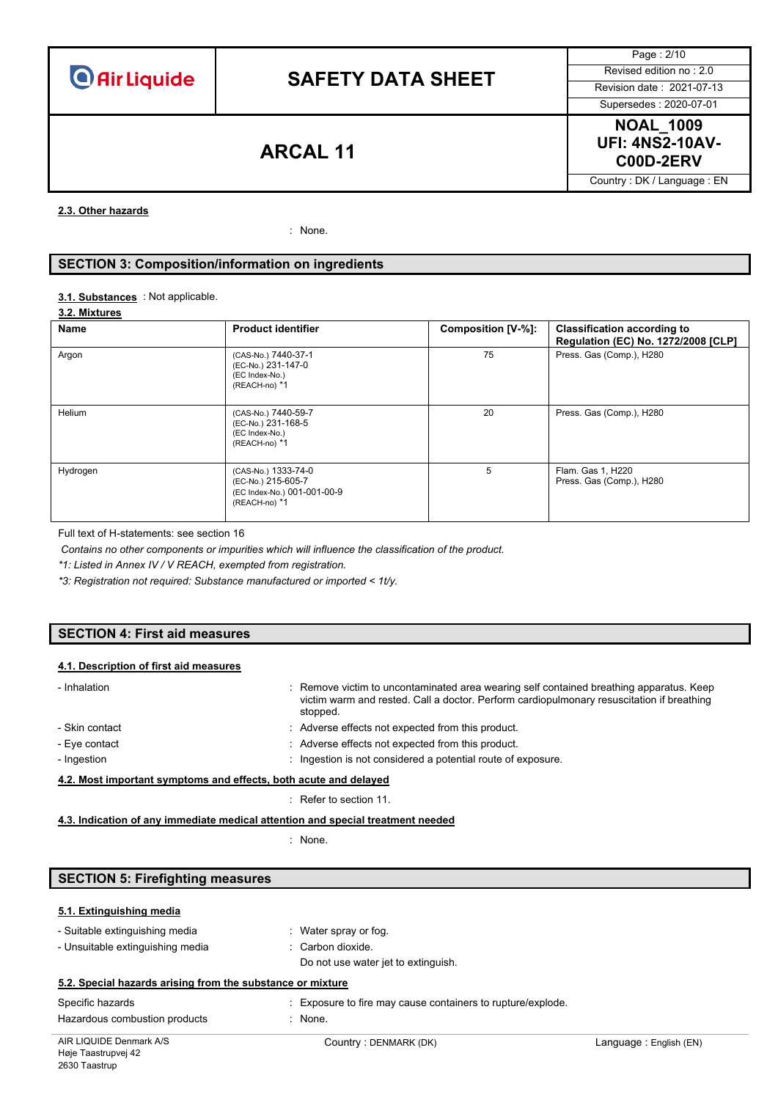**Air Liquide** 

# **SAFETY DATA SHEET** Revised edition no : 2.0

Page : 2/10 Supersedes : 2020-07-01

**NOAL\_1009 UFI: 4NS2-10AV-ARCAL 11** UFI: 4NS2-10A<br>C00D-2ERV COOD-2ERV

Country : DK / Language : EN

#### **2.3. Other hazards**

: None.

### **SECTION 3: Composition/information on ingredients**

#### : Not applicable. **3.1. Substances**

#### **3.2. Mixtures**

| Name     | <b>Product identifier</b>                                                                 | Composition [V-%]: | <b>Classification according to</b><br>Regulation (EC) No. 1272/2008 [CLP] |
|----------|-------------------------------------------------------------------------------------------|--------------------|---------------------------------------------------------------------------|
| Argon    | (CAS-No.) 7440-37-1<br>(EC-No.) 231-147-0<br>(EC Index-No.)<br>(REACH-no) *1              | 75                 | Press. Gas (Comp.), H280                                                  |
| Helium   | (CAS-No.) 7440-59-7<br>(EC-No.) 231-168-5<br>(EC Index-No.)<br>(REACH-no) *1              | 20                 | Press. Gas (Comp.), H280                                                  |
| Hydrogen | (CAS-No.) 1333-74-0<br>(EC-No.) 215-605-7<br>(EC Index-No.) 001-001-00-9<br>(REACH-no) *1 | 5                  | Flam. Gas 1, H220<br>Press. Gas (Comp.), H280                             |

Full text of H-statements: see section 16

*Contains no other components or impurities which will influence the classification of the product.*

*\*1: Listed in Annex IV / V REACH, exempted from registration.*

*\*3: Registration not required: Substance manufactured or imported < 1t/y.*

### **SECTION 4: First aid measures**

#### **4.1. Description of first aid measures**

| - Inhalation                                                        | : Remove victim to uncontaminated area wearing self contained breathing apparatus. Keep<br>victim warm and rested. Call a doctor. Perform cardiopulmonary resuscitation if breathing<br>stopped. |  |
|---------------------------------------------------------------------|--------------------------------------------------------------------------------------------------------------------------------------------------------------------------------------------------|--|
| - Skin contact                                                      | : Adverse effects not expected from this product.                                                                                                                                                |  |
| - Eye contact                                                       | : Adverse effects not expected from this product.                                                                                                                                                |  |
| - Ingestion                                                         | Ingestion is not considered a potential route of exposure.                                                                                                                                       |  |
| 4.0. Maat been sutset symmetry on a state to hath south sud delayed |                                                                                                                                                                                                  |  |

# **4.2. Most important symptoms and effects, both acute and delayed**

: Refer to section 11.

#### **4.3. Indication of any immediate medical attention and special treatment needed**

: None.

# **SECTION 5: Firefighting measures**

#### **5.1. Extinguishing media**

| - Suitable extinguishing media                             | Water spray or fog.                                       |                        |
|------------------------------------------------------------|-----------------------------------------------------------|------------------------|
| - Unsuitable extinguishing media                           | : Carbon dioxide.                                         |                        |
|                                                            | Do not use water jet to extinguish.                       |                        |
| 5.2. Special hazards arising from the substance or mixture |                                                           |                        |
| Specific hazards                                           | Exposure to fire may cause containers to rupture/explode. |                        |
| Hazardous combustion products                              | None.                                                     |                        |
| AIR LIQUIDE Denmark A/S                                    | Country: DENMARK (DK)                                     | Language: English (EN) |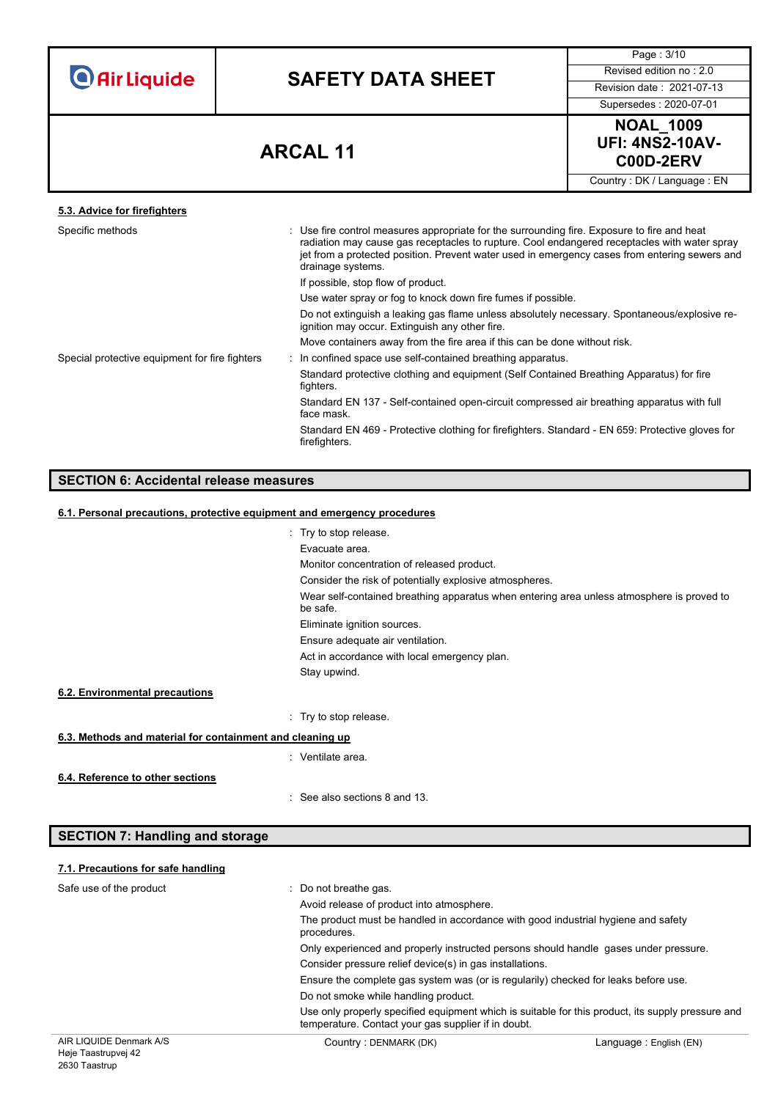| <b>O</b> Air Liquide |  |  |
|----------------------|--|--|
|                      |  |  |

# **SAFETY DATA SHEET** Revised edition no : 2.0

Page : 3/10

Supersedes : 2020-07-01



Country : DK / Language : EN

### **5.3. Advice for firefighters**

| Specific methods                               | : Use fire control measures appropriate for the surrounding fire. Exposure to fire and heat<br>radiation may cause gas receptacles to rupture. Cool endangered receptacles with water spray<br>jet from a protected position. Prevent water used in emergency cases from entering sewers and<br>drainage systems. |
|------------------------------------------------|-------------------------------------------------------------------------------------------------------------------------------------------------------------------------------------------------------------------------------------------------------------------------------------------------------------------|
|                                                | If possible, stop flow of product.                                                                                                                                                                                                                                                                                |
|                                                | Use water spray or fog to knock down fire fumes if possible.                                                                                                                                                                                                                                                      |
|                                                | Do not extinguish a leaking gas flame unless absolutely necessary. Spontaneous/explosive re-<br>ignition may occur. Extinguish any other fire.                                                                                                                                                                    |
|                                                | Move containers away from the fire area if this can be done without risk.                                                                                                                                                                                                                                         |
| Special protective equipment for fire fighters | : In confined space use self-contained breathing apparatus.                                                                                                                                                                                                                                                       |
|                                                | Standard protective clothing and equipment (Self Contained Breathing Apparatus) for fire<br>fighters.                                                                                                                                                                                                             |
|                                                | Standard EN 137 - Self-contained open-circuit compressed air breathing apparatus with full<br>face mask.                                                                                                                                                                                                          |
|                                                | Standard EN 469 - Protective clothing for firefighters. Standard - EN 659: Protective gloves for<br>firefighters.                                                                                                                                                                                                 |

## **SECTION 6: Accidental release measures**

#### **6.1. Personal precautions, protective equipment and emergency procedures**

|                                                           | : Try to stop release.                                                                                |
|-----------------------------------------------------------|-------------------------------------------------------------------------------------------------------|
|                                                           | Evacuate area.                                                                                        |
|                                                           | Monitor concentration of released product.                                                            |
|                                                           | Consider the risk of potentially explosive atmospheres.                                               |
|                                                           | Wear self-contained breathing apparatus when entering area unless atmosphere is proved to<br>be safe. |
|                                                           | Eliminate ignition sources.                                                                           |
|                                                           | Ensure adequate air ventilation.                                                                      |
|                                                           | Act in accordance with local emergency plan.                                                          |
|                                                           | Stay upwind.                                                                                          |
| 6.2. Environmental precautions                            |                                                                                                       |
|                                                           | : Try to stop release.                                                                                |
| 6.3. Methods and material for containment and cleaning up |                                                                                                       |
|                                                           | : Ventilate area.                                                                                     |
| 6.4. Reference to other sections                          |                                                                                                       |
| ۰                                                         | See also sections 8 and 13.                                                                           |
|                                                           |                                                                                                       |

# **SECTION 7: Handling and storage**

#### **7.1. Precautions for safe handling** Safe use of the product : Do not breathe gas.

| AIR LIQUIDE Denmark A/S | Country: DENMARK (DK)                                                                                                                                                                    | Language: English (EN) |  |  |
|-------------------------|------------------------------------------------------------------------------------------------------------------------------------------------------------------------------------------|------------------------|--|--|
|                         | Use only properly specified equipment which is suitable for this product, its supply pressure and<br>temperature. Contact your gas supplier if in doubt.                                 |                        |  |  |
|                         | Do not smoke while handling product.                                                                                                                                                     |                        |  |  |
|                         | Ensure the complete gas system was (or is regularily) checked for leaks before use.                                                                                                      |                        |  |  |
|                         | Consider pressure relief device(s) in gas installations.                                                                                                                                 |                        |  |  |
|                         | The product must be handled in accordance with good industrial hygiene and safety<br>procedures.<br>Only experienced and properly instructed persons should handle gases under pressure. |                        |  |  |
|                         |                                                                                                                                                                                          |                        |  |  |
| Sale use of the product | Do not preatrie gas.                                                                                                                                                                     |                        |  |  |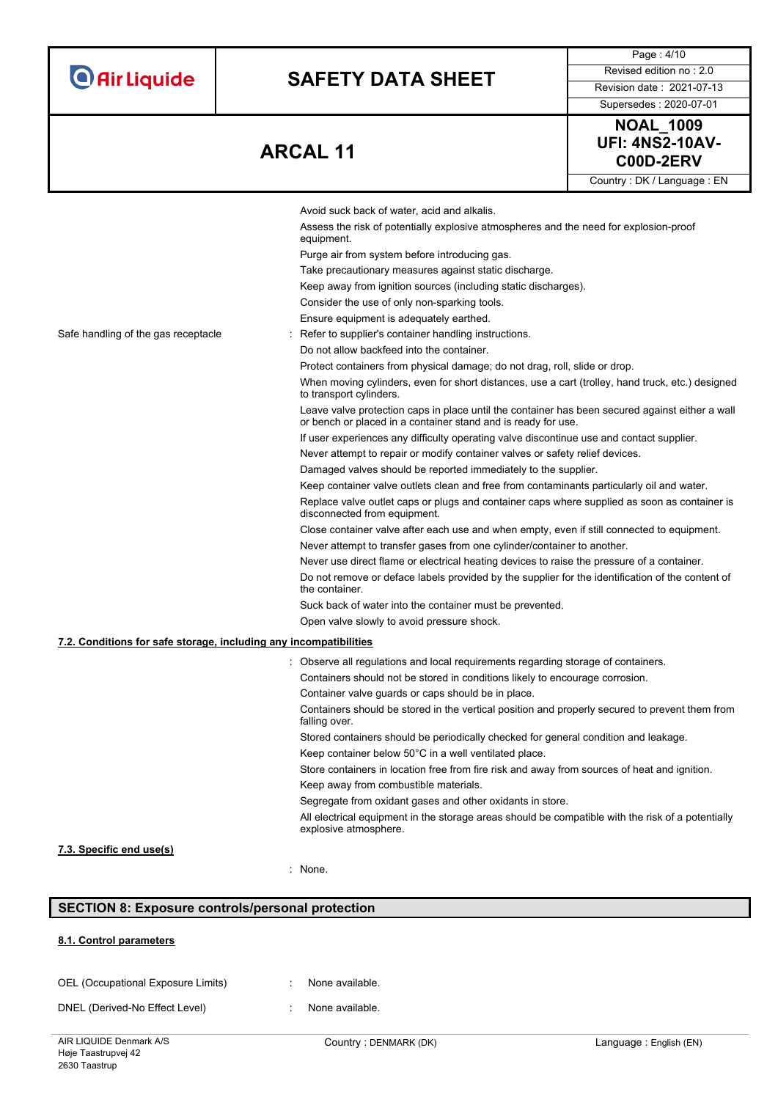|                                                                   |                                                                                                                                                                                                                                                                                                                                                                                                                                                                                                                                                                                                                                                                                                                                                                                                                                                                                                                                                                                                                                                                                               | Page: 4/10                                              |
|-------------------------------------------------------------------|-----------------------------------------------------------------------------------------------------------------------------------------------------------------------------------------------------------------------------------------------------------------------------------------------------------------------------------------------------------------------------------------------------------------------------------------------------------------------------------------------------------------------------------------------------------------------------------------------------------------------------------------------------------------------------------------------------------------------------------------------------------------------------------------------------------------------------------------------------------------------------------------------------------------------------------------------------------------------------------------------------------------------------------------------------------------------------------------------|---------------------------------------------------------|
| <b>O</b> Air Liquide                                              | <b>SAFETY DATA SHEET</b>                                                                                                                                                                                                                                                                                                                                                                                                                                                                                                                                                                                                                                                                                                                                                                                                                                                                                                                                                                                                                                                                      | Revised edition no: 2.0                                 |
|                                                                   |                                                                                                                                                                                                                                                                                                                                                                                                                                                                                                                                                                                                                                                                                                                                                                                                                                                                                                                                                                                                                                                                                               | Revision date: 2021-07-13                               |
|                                                                   |                                                                                                                                                                                                                                                                                                                                                                                                                                                                                                                                                                                                                                                                                                                                                                                                                                                                                                                                                                                                                                                                                               | Supersedes: 2020-07-01                                  |
| <b>ARCAL 11</b>                                                   |                                                                                                                                                                                                                                                                                                                                                                                                                                                                                                                                                                                                                                                                                                                                                                                                                                                                                                                                                                                                                                                                                               | <b>NOAL 1009</b><br><b>UFI: 4NS2-10AV-</b><br>C00D-2ERV |
|                                                                   |                                                                                                                                                                                                                                                                                                                                                                                                                                                                                                                                                                                                                                                                                                                                                                                                                                                                                                                                                                                                                                                                                               | Country: DK / Language: EN                              |
| Safe handling of the gas receptacle                               | Avoid suck back of water, acid and alkalis.<br>Assess the risk of potentially explosive atmospheres and the need for explosion-proof<br>equipment.<br>Purge air from system before introducing gas.<br>Take precautionary measures against static discharge.<br>Keep away from ignition sources (including static discharges).<br>Consider the use of only non-sparking tools.<br>Ensure equipment is adequately earthed.<br>: Refer to supplier's container handling instructions.<br>Do not allow backfeed into the container.<br>Protect containers from physical damage; do not drag, roll, slide or drop.<br>When moving cylinders, even for short distances, use a cart (trolley, hand truck, etc.) designed<br>to transport cylinders.<br>Leave valve protection caps in place until the container has been secured against either a wall<br>or bench or placed in a container stand and is ready for use.<br>If user experiences any difficulty operating valve discontinue use and contact supplier.<br>Never attempt to repair or modify container valves or safety relief devices. |                                                         |
|                                                                   | Damaged valves should be reported immediately to the supplier.<br>Keep container valve outlets clean and free from contaminants particularly oil and water.<br>Replace valve outlet caps or plugs and container caps where supplied as soon as container is<br>disconnected from equipment.<br>Close container valve after each use and when empty, even if still connected to equipment.<br>Never attempt to transfer gases from one cylinder/container to another.<br>Never use direct flame or electrical heating devices to raise the pressure of a container.<br>Do not remove or deface labels provided by the supplier for the identification of the content of<br>the container.<br>Suck back of water into the container must be prevented.<br>Open valve slowly to avoid pressure shock.                                                                                                                                                                                                                                                                                            |                                                         |
|                                                                   |                                                                                                                                                                                                                                                                                                                                                                                                                                                                                                                                                                                                                                                                                                                                                                                                                                                                                                                                                                                                                                                                                               |                                                         |
| 7.2. Conditions for safe storage, including any incompatibilities |                                                                                                                                                                                                                                                                                                                                                                                                                                                                                                                                                                                                                                                                                                                                                                                                                                                                                                                                                                                                                                                                                               |                                                         |
|                                                                   | : Observe all regulations and local requirements regarding storage of containers.<br>Containers should not be stored in conditions likely to encourage corrosion.<br>Container valve guards or caps should be in place.<br>Containers should be stored in the vertical position and properly secured to prevent them from<br>falling over.<br>Stored containers should be periodically checked for general condition and leakage.<br>Keep container below 50°C in a well ventilated place.<br>Store containers in location free from fire risk and away from sources of heat and ignition.<br>Keep away from combustible materials.                                                                                                                                                                                                                                                                                                                                                                                                                                                           |                                                         |

Segregate from oxidant gases and other oxidants in store.

All electrical equipment in the storage areas should be compatible with the risk of a potentially explosive atmosphere.

#### **7.3. Specific end use(s)**

: None.

# **SECTION 8: Exposure controls/personal protection**

#### **8.1. Control parameters**

| OEL (Occupational Exposure Limits) | None available. |
|------------------------------------|-----------------|
|                                    |                 |

DNEL (Derived-No Effect Level) : None available.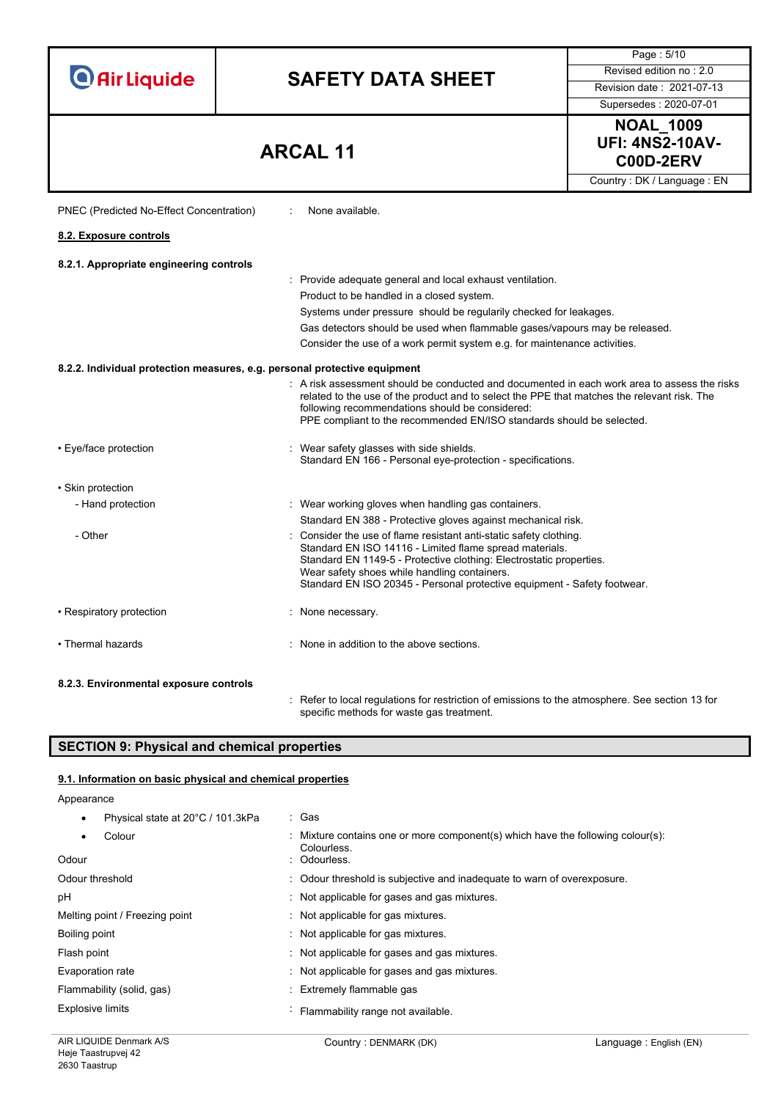|                                          |                                                                                                                                                                                                                                                                                                                         | Page: 5/10                                                                                                                                                                                                                                                                     |  |
|------------------------------------------|-------------------------------------------------------------------------------------------------------------------------------------------------------------------------------------------------------------------------------------------------------------------------------------------------------------------------|--------------------------------------------------------------------------------------------------------------------------------------------------------------------------------------------------------------------------------------------------------------------------------|--|
| <b>O</b> Air Liquide                     | <b>SAFETY DATA SHEET</b>                                                                                                                                                                                                                                                                                                | Revised edition no: 2.0                                                                                                                                                                                                                                                        |  |
|                                          |                                                                                                                                                                                                                                                                                                                         | Revision date: 2021-07-13                                                                                                                                                                                                                                                      |  |
|                                          |                                                                                                                                                                                                                                                                                                                         | Supersedes: 2020-07-01                                                                                                                                                                                                                                                         |  |
| <b>ARCAL 11</b>                          |                                                                                                                                                                                                                                                                                                                         | <b>NOAL 1009</b><br><b>UFI: 4NS2-10AV-</b><br>C00D-2ERV                                                                                                                                                                                                                        |  |
|                                          |                                                                                                                                                                                                                                                                                                                         | Country: DK / Language: EN                                                                                                                                                                                                                                                     |  |
| PNEC (Predicted No-Effect Concentration) | None available.                                                                                                                                                                                                                                                                                                         |                                                                                                                                                                                                                                                                                |  |
| 8.2. Exposure controls                   |                                                                                                                                                                                                                                                                                                                         |                                                                                                                                                                                                                                                                                |  |
| 8.2.1. Appropriate engineering controls  |                                                                                                                                                                                                                                                                                                                         |                                                                                                                                                                                                                                                                                |  |
|                                          | : Provide adequate general and local exhaust ventilation.                                                                                                                                                                                                                                                               |                                                                                                                                                                                                                                                                                |  |
|                                          | Product to be handled in a closed system.                                                                                                                                                                                                                                                                               |                                                                                                                                                                                                                                                                                |  |
|                                          | Systems under pressure should be regularily checked for leakages.                                                                                                                                                                                                                                                       |                                                                                                                                                                                                                                                                                |  |
|                                          | Gas detectors should be used when flammable gases/vapours may be released.                                                                                                                                                                                                                                              |                                                                                                                                                                                                                                                                                |  |
|                                          | Consider the use of a work permit system e.g. for maintenance activities.                                                                                                                                                                                                                                               |                                                                                                                                                                                                                                                                                |  |
|                                          | 8.2.2. Individual protection measures, e.g. personal protective equipment                                                                                                                                                                                                                                               |                                                                                                                                                                                                                                                                                |  |
|                                          | : A risk assessment should be conducted and documented in each work area to assess the risks<br>related to the use of the product and to select the PPE that matches the relevant risk. The<br>following recommendations should be considered:<br>PPE compliant to the recommended EN/ISO standards should be selected. |                                                                                                                                                                                                                                                                                |  |
| • Eye/face protection                    | Wear safety glasses with side shields.<br>Standard EN 166 - Personal eye-protection - specifications.                                                                                                                                                                                                                   |                                                                                                                                                                                                                                                                                |  |
| • Skin protection                        |                                                                                                                                                                                                                                                                                                                         |                                                                                                                                                                                                                                                                                |  |
| - Hand protection                        | : Wear working gloves when handling gas containers.                                                                                                                                                                                                                                                                     |                                                                                                                                                                                                                                                                                |  |
|                                          | Standard EN 388 - Protective gloves against mechanical risk.                                                                                                                                                                                                                                                            |                                                                                                                                                                                                                                                                                |  |
| - Other                                  | Wear safety shoes while handling containers.                                                                                                                                                                                                                                                                            | Consider the use of flame resistant anti-static safety clothing.<br>Standard EN ISO 14116 - Limited flame spread materials.<br>Standard EN 1149-5 - Protective clothing: Electrostatic properties.<br>Standard EN ISO 20345 - Personal protective equipment - Safety footwear. |  |
| • Respiratory protection                 | : None necessary.                                                                                                                                                                                                                                                                                                       |                                                                                                                                                                                                                                                                                |  |
| • Thermal hazards                        | : None in addition to the above sections.                                                                                                                                                                                                                                                                               |                                                                                                                                                                                                                                                                                |  |
| 8.2.3. Environmental exposure controls   |                                                                                                                                                                                                                                                                                                                         |                                                                                                                                                                                                                                                                                |  |
|                                          | Refer to local regulations for restriction of emissions to the atmosphere. See section 13 for                                                                                                                                                                                                                           |                                                                                                                                                                                                                                                                                |  |

## **SECTION 9: Physical and chemical properties**

#### **9.1. Information on basic physical and chemical properties**

Appearance

• Physical state at 20°C / 101.3kPa : Gas

| Colour<br>Odour                | : Mixture contains one or more component(s) which have the following colour(s):<br>Colourless.<br>: Odourless. |
|--------------------------------|----------------------------------------------------------------------------------------------------------------|
| Odour threshold                | : Odour threshold is subjective and inadequate to warn of overexposure.                                        |
| рH                             | : Not applicable for gases and gas mixtures.                                                                   |
| Melting point / Freezing point | : Not applicable for gas mixtures.                                                                             |
| Boiling point                  | Not applicable for gas mixtures.                                                                               |
| Flash point                    | Not applicable for gases and gas mixtures.                                                                     |
| Evaporation rate               | : Not applicable for gases and gas mixtures.                                                                   |
| Flammability (solid, gas)      | : Extremely flammable gas                                                                                      |
| <b>Explosive limits</b>        | Flammability range not available.                                                                              |

specific methods for waste gas treatment.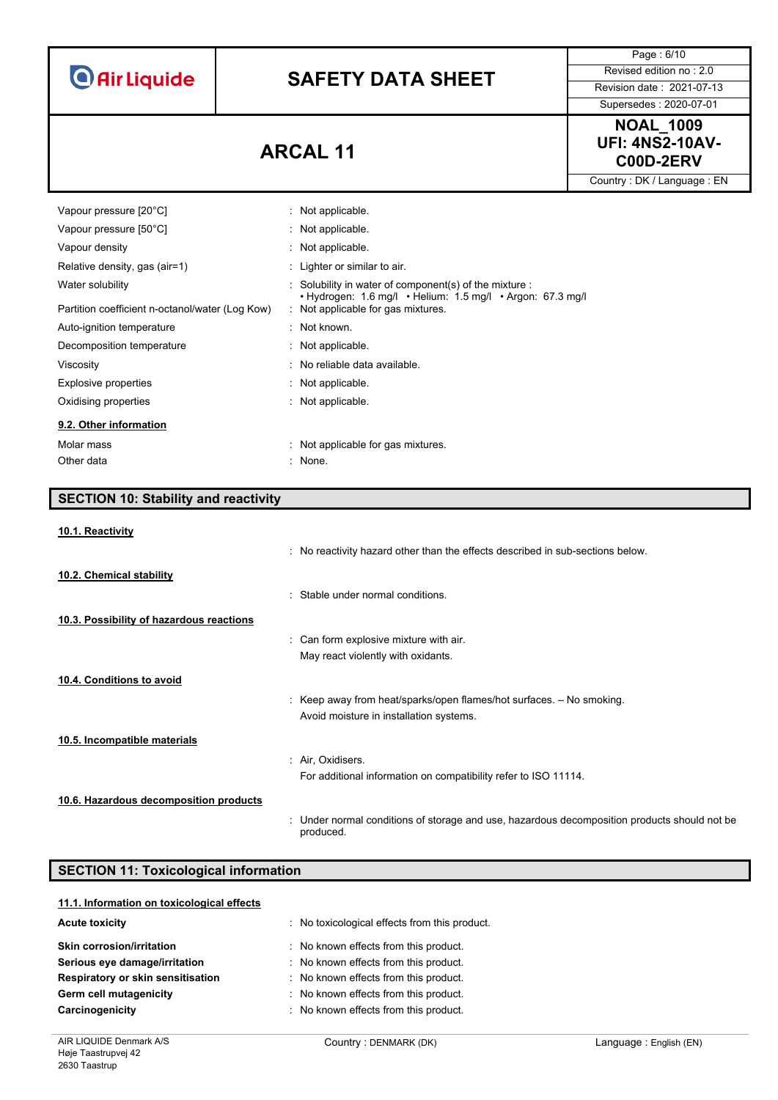**O** Air Liquide

# **SAFETY DATA SHEET** Revised edition no : 2.0

Page : 6/10

Supersedes : 2020-07-01

# **NOAL\_1009 UFI: 4NS2-10AV-** $C00D-2ERV$

Country : DK / Language : EN

| <b>ARCAL 11</b> |
|-----------------|
|-----------------|

| Vapour pressure [20°C]                          | $:$ Not applicable.                                                                              |
|-------------------------------------------------|--------------------------------------------------------------------------------------------------|
| Vapour pressure [50°C]                          | $:$ Not applicable.                                                                              |
| Vapour density                                  | : Not applicable.                                                                                |
| Relative density, gas (air=1)                   | : Lighter or similar to air.                                                                     |
| Water solubility                                | $\therefore$ Solubility in water of component(s) of the mixture $\therefore$                     |
| Partition coefficient n-octanol/water (Log Kow) | . Hydrogen: 1.6 mg/l . Helium: 1.5 mg/l . Argon: 67.3 mg/l<br>: Not applicable for gas mixtures. |
| Auto-ignition temperature                       | $:$ Not known.                                                                                   |
| Decomposition temperature                       | $\therefore$ Not applicable.                                                                     |
| Viscosity                                       | : No reliable data available.                                                                    |
| Explosive properties                            | $\therefore$ Not applicable.                                                                     |
| Oxidising properties                            | $\therefore$ Not applicable.                                                                     |
| 9.2. Other information                          |                                                                                                  |
| Molar mass                                      | : Not applicable for gas mixtures.                                                               |
| Other data                                      | : None.                                                                                          |

# **SECTION 10: Stability and reactivity**

#### **10.1. Reactivity**

|                                          | . No reactivity hazard other than the effects described in sub-sections below.                            |
|------------------------------------------|-----------------------------------------------------------------------------------------------------------|
| 10.2. Chemical stability                 |                                                                                                           |
|                                          | : Stable under normal conditions.                                                                         |
| 10.3. Possibility of hazardous reactions |                                                                                                           |
|                                          | : Can form explosive mixture with air.                                                                    |
|                                          | May react violently with oxidants.                                                                        |
| 10.4. Conditions to avoid                |                                                                                                           |
|                                          | $\therefore$ Keep away from heat/sparks/open flames/hot surfaces. $-$ No smoking.                         |
|                                          | Avoid moisture in installation systems.                                                                   |
| 10.5. Incompatible materials             |                                                                                                           |
|                                          | : Air, Oxidisers.                                                                                         |
|                                          | For additional information on compatibility refer to ISO 11114.                                           |
| 10.6. Hazardous decomposition products   |                                                                                                           |
|                                          | : Under normal conditions of storage and use, hazardous decomposition products should not be<br>produced. |

### **SECTION 11: Toxicological information**

| 11.1. Information on toxicological effects |                                             |
|--------------------------------------------|---------------------------------------------|
| <b>Acute toxicity</b>                      | No toxicological effects from this product. |
| <b>Skin corrosion/irritation</b>           | No known effects from this product.         |
| Serious eye damage/irritation              | No known effects from this product.         |
| Respiratory or skin sensitisation          | No known effects from this product.         |
| Germ cell mutagenicity                     | No known effects from this product.         |
| Carcinogenicity                            | : No known effects from this product.       |
|                                            |                                             |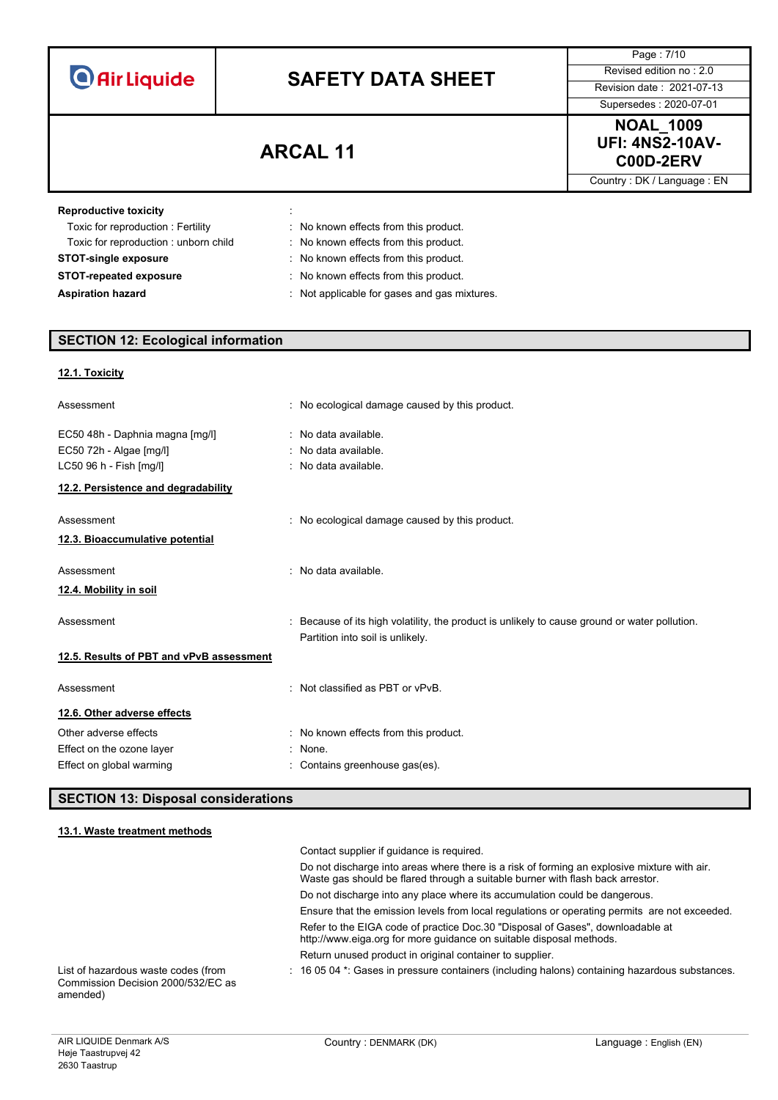| <b>O</b> Air Liquide |  |  |
|----------------------|--|--|
|                      |  |  |

# **SAFETY DATA SHEET** Revised edition no : 2.0

Page : 7/10 Supersedes : 2020-07-01

# **NOAL\_1009 UFI: 4NS2-10AV-ARCAL 11** UFI: 4NS2-10A<br>C00D-2ERV

Country : DK / Language : EN

| <b>Reproductive toxicity</b>         |                                              |
|--------------------------------------|----------------------------------------------|
| Toxic for reproduction: Fertility    | : No known effects from this product.        |
| Toxic for reproduction: unborn child | : No known effects from this product.        |
| <b>STOT-single exposure</b>          | : No known effects from this product.        |
| <b>STOT-repeated exposure</b>        | : No known effects from this product.        |
| <b>Aspiration hazard</b>             | : Not applicable for gases and gas mixtures. |

# **SECTION 12: Ecological information**

### **12.1. Toxicity**

| Assessment                                                                                                                   | : No ecological damage caused by this product.                                                                                  |
|------------------------------------------------------------------------------------------------------------------------------|---------------------------------------------------------------------------------------------------------------------------------|
| EC50 48h - Daphnia magna [mg/l]<br>EC50 72h - Algae [mg/l]<br>LC50 96 h - Fish [mg/l]<br>12.2. Persistence and degradability | : No data available.<br>: No data available.<br>: No data available.                                                            |
| Assessment<br>12.3. Bioaccumulative potential                                                                                | : No ecological damage caused by this product.                                                                                  |
| Assessment<br>12.4. Mobility in soil                                                                                         | No data available.                                                                                                              |
| Assessment                                                                                                                   | Because of its high volatility, the product is unlikely to cause ground or water pollution.<br>Partition into soil is unlikely. |
| 12.5. Results of PBT and vPvB assessment                                                                                     |                                                                                                                                 |
| Assessment                                                                                                                   | : Not classified as PBT or vPvB.                                                                                                |
| 12.6. Other adverse effects<br>Other adverse effects                                                                         | : No known effects from this product.                                                                                           |
| Effect on the ozone layer                                                                                                    | : None.                                                                                                                         |
| Effect on global warming                                                                                                     | Contains greenhouse gas(es).                                                                                                    |

## **SECTION 13: Disposal considerations**

#### **13.1. Waste treatment methods**

|                                                                                       | Contact supplier if quidance is required.                                                                                                                                     |
|---------------------------------------------------------------------------------------|-------------------------------------------------------------------------------------------------------------------------------------------------------------------------------|
|                                                                                       | Do not discharge into areas where there is a risk of forming an explosive mixture with air.<br>Waste gas should be flared through a suitable burner with flash back arrestor. |
|                                                                                       | Do not discharge into any place where its accumulation could be dangerous.                                                                                                    |
|                                                                                       | Ensure that the emission levels from local regulations or operating permits are not exceeded.                                                                                 |
|                                                                                       | Refer to the EIGA code of practice Doc.30 "Disposal of Gases", downloadable at<br>http://www.eiga.org for more guidance on suitable disposal methods.                         |
|                                                                                       | Return unused product in original container to supplier.                                                                                                                      |
| List of hazardous waste codes (from<br>Commission Decision 2000/532/EC as<br>amended) | $\pm$ 16 05 04 $^*$ . Gases in pressure containers (including halons) containing hazardous substances.                                                                        |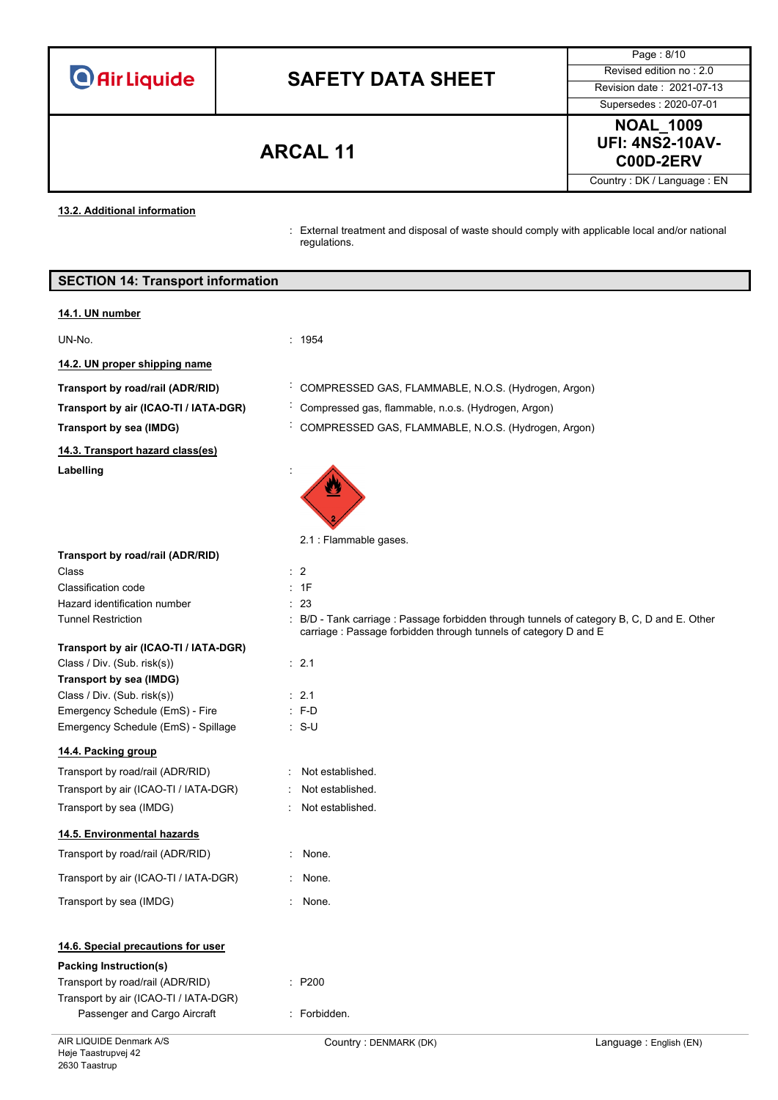**O** Air Liquide

# **SAFETY DATA SHEET** Revised edition no : 2.0

Supersedes : 2020-07-01

Page : 8/10

**NOAL\_1009 UFI: 4NS2-10AV-ARCAL 11** UFI: 4NS2-10A<br>C00D-2ERV COOD-2ERV

Country : DK / Language : EN

**13.2. Additional information**

: External treatment and disposal of waste should comply with applicable local and/or national regulations.

### **14.1. UN number**

UN-No. : 1954

**14.2. UN proper shipping name**

- 
- 

**14.3. Transport hazard class(es)**

Labelling

- **Transport by road/rail (ADR/RID)** : COMPRESSED GAS, FLAMMABLE, N.O.S. (Hydrogen, Argon)
- **Transport by air (ICAO-TI / IATA-DGR)** : Compressed gas, flammable, n.o.s. (Hydrogen, Argon)
- **Transport by sea (IMDG)** : COMPRESSED GAS, FLAMMABLE, N.O.S. (Hydrogen, Argon)

carriage : Passage forbidden through tunnels of category D and E



: None. : None.

 $P200$ 

: Forbidden.

 $\cdot$  Not established : Not established. : Not established.

2.1 : Flammable gases.

**Transport by road/rail (ADR/RID)**

Class : 2 Classification code : 1F Hazard identification number : 23 Tunnel Restriction : B/D - Tank carriage : Passage forbidden through tunnels of category B, C, D and E. Other

# **Transport by air (ICAO-TI / IATA-DGR)**

| Class / Div. (Sub. risk(s))         | $\therefore$ 2.1 |
|-------------------------------------|------------------|
| Transport by sea (IMDG)             |                  |
| Class / Div. (Sub. risk(s))         | $\cdot$ 21       |
| Emergency Schedule (EmS) - Fire     | $: F-D$          |
| Emergency Schedule (EmS) - Spillage | : S-U            |

## **14.4. Packing group**

| Transport by road/rail (ADR/RID)      |
|---------------------------------------|
| Transport by air (ICAO-TI / IATA-DGR) |
| Transport by sea (IMDG)               |

### **14.5. Environmental hazards**

| Transport by road/rail (ADR/RID)      |  |
|---------------------------------------|--|
| Transport by air (ICAO-TI / IATA-DGR) |  |

## Transport by sea (IMDG) **in the set of the set of the set of the set of the set of the set of the set of the set of the set of the set of the set of the set of the set of the set of the set of the set of the set of the set**

## **14.6. Special precautions for user**

### **Packing Instruction(s)**

| Transport by road/rail (ADR/RID)      |  |
|---------------------------------------|--|
| Transport by air (ICAO-TI / IATA-DGR) |  |
| Passenger and Cargo Aircraft          |  |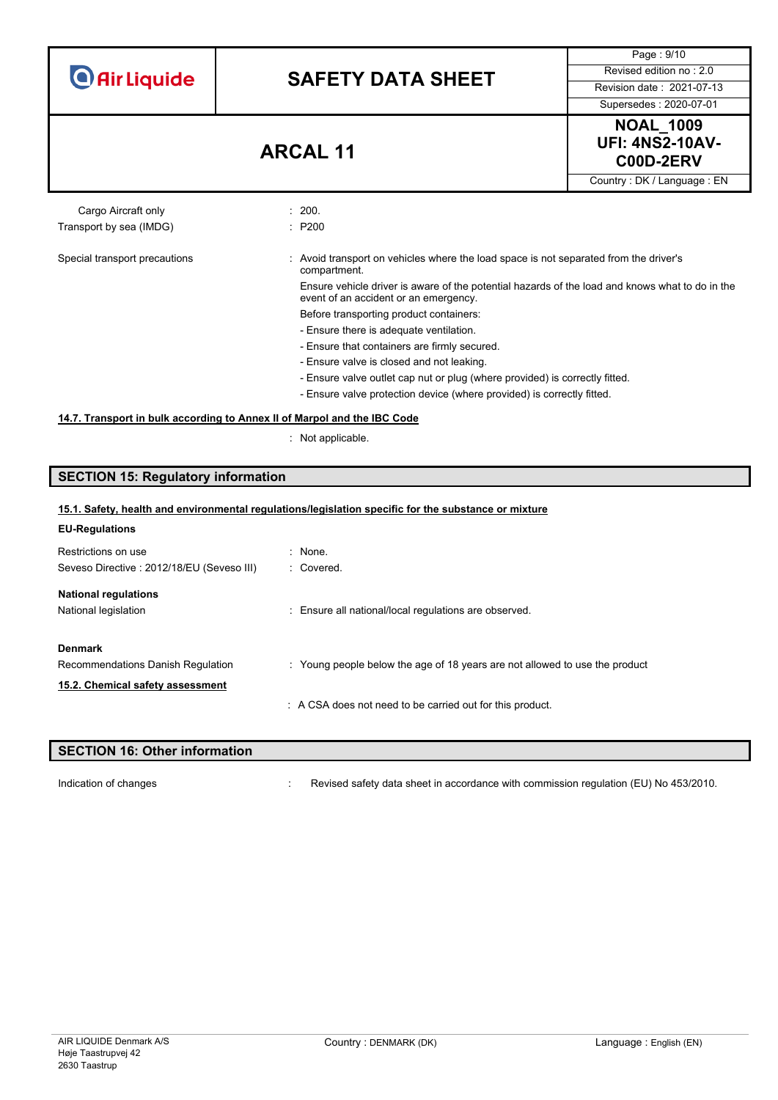| <b>O</b> Air Liquide |  |  |
|----------------------|--|--|
|                      |  |  |

# **SAFETY DATA SHEET** Revised edition no : 2.0

Supersedes : 2020-07-01

Page : 9/10

**NOAL\_1009 UFI: 4NS2-10AV-ARCAL 11 COOD-2ERV COOD-2ERV** 

Country : DK / Language : EN

Cargo Aircraft only **Example 200.** 200. Transport by sea (IMDG) : P200

#### Special transport precautions : Avoid transport on vehicles where the load space is not separated from the driver's compartment. Ensure vehicle driver is aware of the potential hazards of the load and knows what to do in the

event of an accident or an emergency.

Before transporting product containers:

- Ensure there is adequate ventilation.
- Ensure that containers are firmly secured.
- Ensure valve is closed and not leaking.
- Ensure valve outlet cap nut or plug (where provided) is correctly fitted.
- Ensure valve protection device (where provided) is correctly fitted.

#### **14.7. Transport in bulk according to Annex II of Marpol and the IBC Code**

: Not applicable.

## **SECTION 15: Regulatory information**

| 15.1. Safety, health and environmental regulations/legislation specific for the substance or mixture |                                                                             |  |  |
|------------------------------------------------------------------------------------------------------|-----------------------------------------------------------------------------|--|--|
| <b>EU-Regulations</b>                                                                                |                                                                             |  |  |
| Restrictions on use                                                                                  | : None.                                                                     |  |  |
| Seveso Directive: 2012/18/EU (Seveso III)                                                            | : Covered.                                                                  |  |  |
| <b>National regulations</b>                                                                          |                                                                             |  |  |
| National legislation                                                                                 | : Ensure all national/local regulations are observed.                       |  |  |
| <b>Denmark</b>                                                                                       |                                                                             |  |  |
| Recommendations Danish Regulation                                                                    | : Young people below the age of 18 years are not allowed to use the product |  |  |
| 15.2. Chemical safety assessment                                                                     |                                                                             |  |  |
|                                                                                                      | A CSA does not need to be carried out for this product.                     |  |  |

# **SECTION 16: Other information**

Indication of changes **in the visible of the Commission of changes** in accordance with commission regulation (EU) No 453/2010.